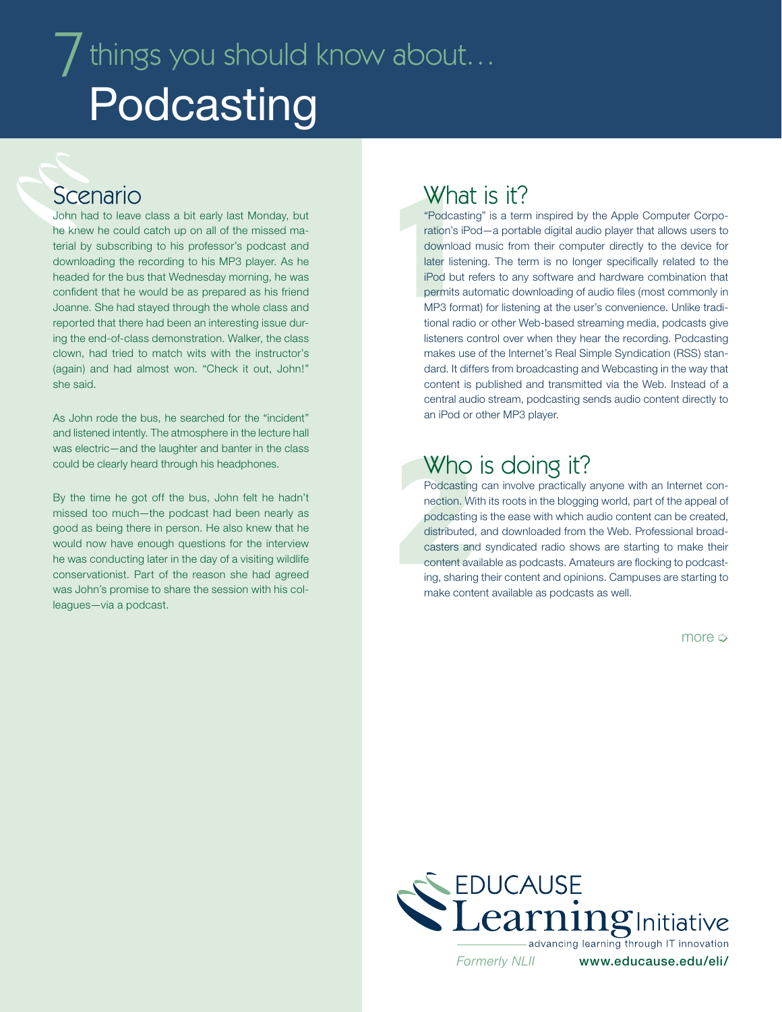# $\overline{J}$  things you should know about... **Podcasting**

#### Scenario

John had to leave class a bit early last Monday, but he knew he could catch up on all of the missed material by subscribing to his professor's podcast and downloading the recording to his MP3 player. As he headed for the bus that Wednesday morning, he was confident that he would be as prepared as his friend Joanne. She had stayed through the whole class and reported that there had been an interesting issue during the end-of-class demonstration. Walker, the class clown, had tried to match wits with the instructor's (again) and had almost won. "Check it out, John!" she said.

As John rode the bus, he searched for the "incident" and listened intently. The atmosphere in the lecture hall was electric—and the laughter and banter in the class could be clearly heard through his headphones.

By the time he got off the bus, John felt he hadn't missed too much—the podcast had been nearly as good as being there in person. He also knew that he would now have enough questions for the interview he was conducting later in the day of a visiting wildlife conservationist. Part of the reason she had agreed was John's promise to share the session with his colleagues—via a podcast.

#### What is it?

What<br>
"Podcastin"<br>
ration's iPc<br>
download<br>
later listeni<br>
iPod but re<br>
permits au<br>
MP3 forma<br>
tional radio "Podcasting" is a term inspired by the Apple Computer Corporation's iPod—a portable digital audio player that allows users to download music from their computer directly to the device for later listening. The term is no longer specifically related to the iPod but refers to any software and hardware combination that permits automatic downloading of audio files (most commonly in MP3 format) for listening at the user's convenience. Unlike traditional radio or other Web-based streaming media, podcasts give listeners control over when they hear the recording. Podcasting makes use of the Internet's Real Simple Syndication (RSS) standard. It differs from broadcasting and Webcasting in the way that content is published and transmitted via the Web. Instead of a central audio stream, podcasting sends audio content directly to an iPod or other MP3 player.

## Who is doing it?

Who<br>Podcasting of<br>nection. With<br>podcasting is<br>distributed, a<br>casters and<br>content avail.<br>ing, sharing t<br>make content Podcasting can involve practically anyone with an Internet connection. With its roots in the blogging world, part of the appeal of podcasting is the ease with which audio content can be created, distributed, and downloaded from the Web. Professional broadcasters and syndicated radio shows are starting to make their content available as podcasts. Amateurs are flocking to podcasting, sharing their content and opinions. Campuses are starting to make content available as podcasts as well.

more  $\Rightarrow$